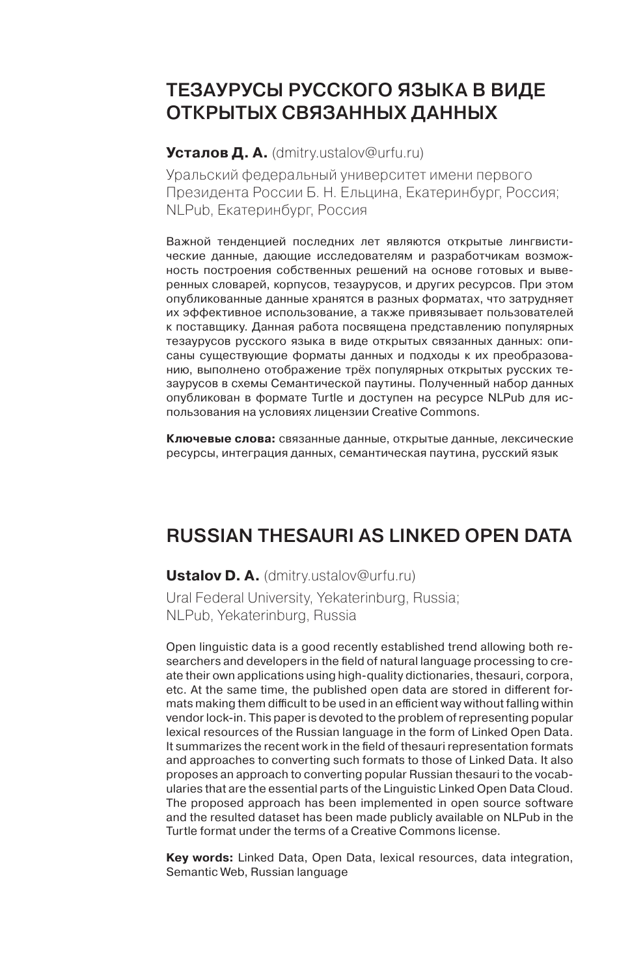# Тезаурусы русского языка в виде оТкрыТых связанных данных

#### **Усталов Д. А.** (dmitry.ustalov@urfu.ru)

Уральский федеральный университет имени первого Президента России Б. Н. Ельцина, Екатеринбург, Россия; NLPub, Екатеринбург, Россия

Важной тенденцией последних лет являются открытые лингвистические данные, дающие исследователям и разработчикам возможность построения собственных решений на основе готовых и выверенных словарей, корпусов, тезаурусов, и других ресурсов. При этом опубликованные данные хранятся в разных форматах, что затрудняет их эффективное использование, а также привязывает пользователей к поставщику. Данная работа посвящена представлению популярных тезаурусов русского языка в виде открытых связанных данных: описаны существующие форматы данных и подходы к их преобразованию, выполнено отображение трёх популярных открытых русских тезаурусов в схемы Семантической паутины. Полученный набор данных опубликован в формате Turtle и доступен на ресурсе NLPub для использования на условиях лицензии Creative Commons.

**Ключевые слова:** связанные данные, открытые данные, лексические ресурсы, интеграция данных, cемантическая паутина, русский язык

# Russian Thesauri as Linked Open Data

**Ustalov D. A.** (dmitry.ustalov@urfu.ru)

Ural Federal University, Yekaterinburg, Russia; NLPub, Yekaterinburg, Russia

Open linguistic data is a good recently established trend allowing both researchers and developers in the field of natural language processing to create their own applications using high-quality dictionaries, thesauri, corpora, etc. At the same time, the published open data are stored in different formats making them difficult to be used in an efficient way without falling within vendor lock-in. This paper is devoted to the problem of representing popular lexical resources of the Russian language in the form of Linked Open Data. It summarizes the recent work in the field of thesauri representation formats and approaches to converting such formats to those of Linked Data. It also proposes an approach to converting popular Russian thesauri to the vocabularies that are the essential parts of the Linguistic Linked Open Data Cloud. The proposed approach has been implemented in open source software and the resulted dataset has been made publicly available on NLPub in the Turtle format under the terms of a Creative Commons license.

**Key words:** Linked Data, Open Data, lexical resources, data integration, Semantic Web, Russian language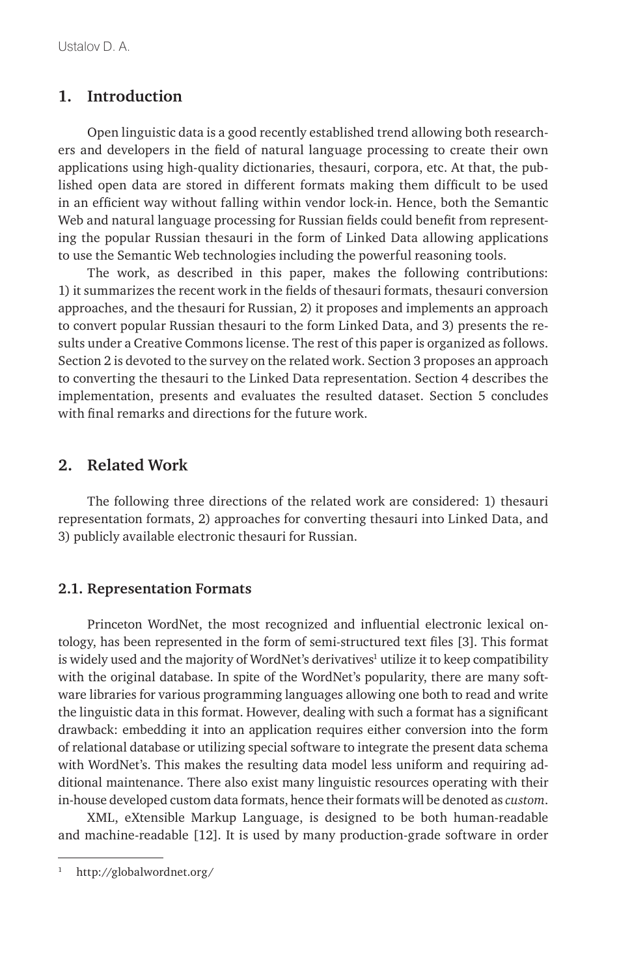## **1. Introduction**

Open linguistic data is a good recently established trend allowing both researchers and developers in the field of natural language processing to create their own applications using high-quality dictionaries, thesauri, corpora, etc. At that, the published open data are stored in different formats making them difficult to be used in an efficient way without falling within vendor lock-in. Hence, both the Semantic Web and natural language processing for Russian fields could benefit from representing the popular Russian thesauri in the form of Linked Data allowing applications to use the Semantic Web technologies including the powerful reasoning tools.

The work, as described in this paper, makes the following contributions: 1) it summarizes the recent work in the fields of thesauri formats, thesauri conversion approaches, and the thesauri for Russian, 2) it proposes and implements an approach to convert popular Russian thesauri to the form Linked Data, and 3) presents the results under a Creative Commons license. The rest of this paper is organized as follows. Section 2 is devoted to the survey on the related work. Section 3 proposes an approach to converting the thesauri to the Linked Data representation. Section 4 describes the implementation, presents and evaluates the resulted dataset. Section 5 concludes with final remarks and directions for the future work.

### **2. Related Work**

The following three directions of the related work are considered: 1) thesauri representation formats, 2) approaches for converting thesauri into Linked Data, and 3) publicly available electronic thesauri for Russian.

#### **2.1. Representation Formats**

Princeton WordNet, the most recognized and influential electronic lexical ontology, has been represented in the form of semi-structured text files [3]. This format is widely used and the majority of WordNet's derivatives<sup>1</sup> utilize it to keep compatibility with the original database. In spite of the WordNet's popularity, there are many software libraries for various programming languages allowing one both to read and write the linguistic data in this format. However, dealing with such a format has a significant drawback: embedding it into an application requires either conversion into the form of relational database or utilizing special software to integrate the present data schema with WordNet's. This makes the resulting data model less uniform and requiring additional maintenance. There also exist many linguistic resources operating with their in-house developed custom data formats, hence their formats will be denoted as *custom*.

XML, eXtensible Markup Language, is designed to be both human-readable and machine-readable [12]. It is used by many production-grade software in order

<sup>1</sup> http://globalwordnet.org/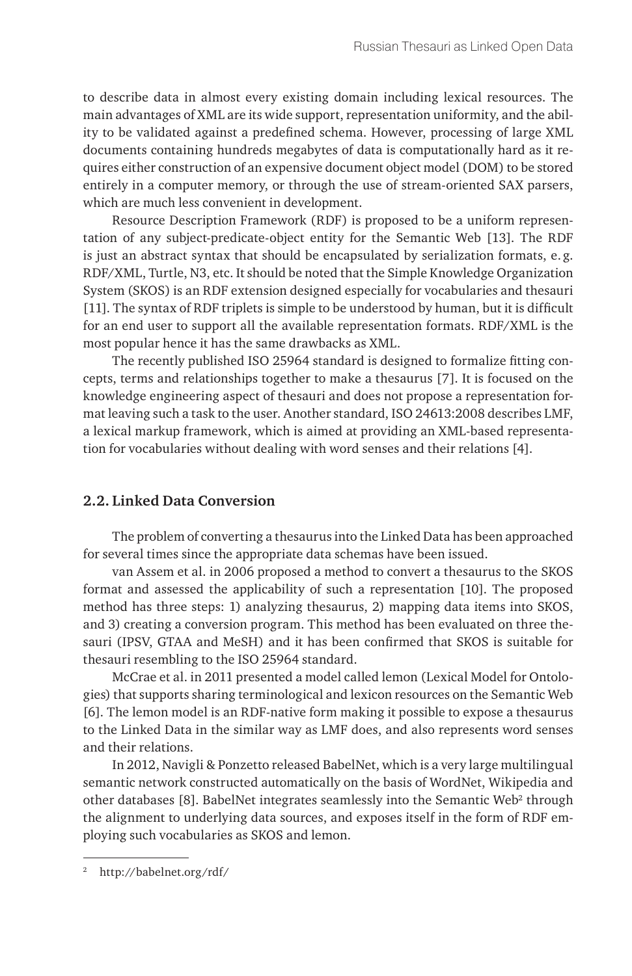to describe data in almost every existing domain including lexical resources. The main advantages of XML are its wide support, representation uniformity, and the ability to be validated against a predefined schema. However, processing of large XML documents containing hundreds megabytes of data is computationally hard as it requires either construction of an expensive document object model (DOM) to be stored entirely in a computer memory, or through the use of stream-oriented SAX parsers, which are much less convenient in development.

Resource Description Framework (RDF) is proposed to be a uniform representation of any subject-predicate-object entity for the Semantic Web [13]. The RDF is just an abstract syntax that should be encapsulated by serialization formats, e. g. RDF/XML, Turtle, N3, etc. It should be noted that the Simple Knowledge Organization System (SKOS) is an RDF extension designed especially for vocabularies and thesauri [11]. The syntax of RDF triplets is simple to be understood by human, but it is difficult for an end user to support all the available representation formats. RDF/XML is the most popular hence it has the same drawbacks as XML.

The recently published ISO 25964 standard is designed to formalize fitting concepts, terms and relationships together to make a thesaurus [7]. It is focused on the knowledge engineering aspect of thesauri and does not propose a representation format leaving such a task to the user. Another standard, ISO 24613:2008 describes LMF, a lexical markup framework, which is aimed at providing an XML-based representation for vocabularies without dealing with word senses and their relations [4].

#### **2.2. Linked Data Conversion**

The problem of converting a thesaurus into the Linked Data has been approached for several times since the appropriate data schemas have been issued.

van Assem et al. in 2006 proposed a method to convert a thesaurus to the SKOS format and assessed the applicability of such a representation [10]. The proposed method has three steps: 1) analyzing thesaurus, 2) mapping data items into SKOS, and 3) creating a conversion program. This method has been evaluated on three thesauri (IPSV, GTAA and MeSH) and it has been confirmed that SKOS is suitable for thesauri resembling to the ISO 25964 standard.

McCrae et al. in 2011 presented a model called lemon (Lexical Model for Ontologies) that supports sharing terminological and lexicon resources on the Semantic Web [6]. The lemon model is an RDF-native form making it possible to expose a thesaurus to the Linked Data in the similar way as LMF does, and also represents word senses and their relations.

In 2012, Navigli & Ponzetto released BabelNet, which is a very large multilingual semantic network constructed automatically on the basis of WordNet, Wikipedia and other databases [8]. BabelNet integrates seamlessly into the Semantic Web<sup>2</sup> through the alignment to underlying data sources, and exposes itself in the form of RDF employing such vocabularies as SKOS and lemon.

<sup>2</sup> http://babelnet.org/rdf/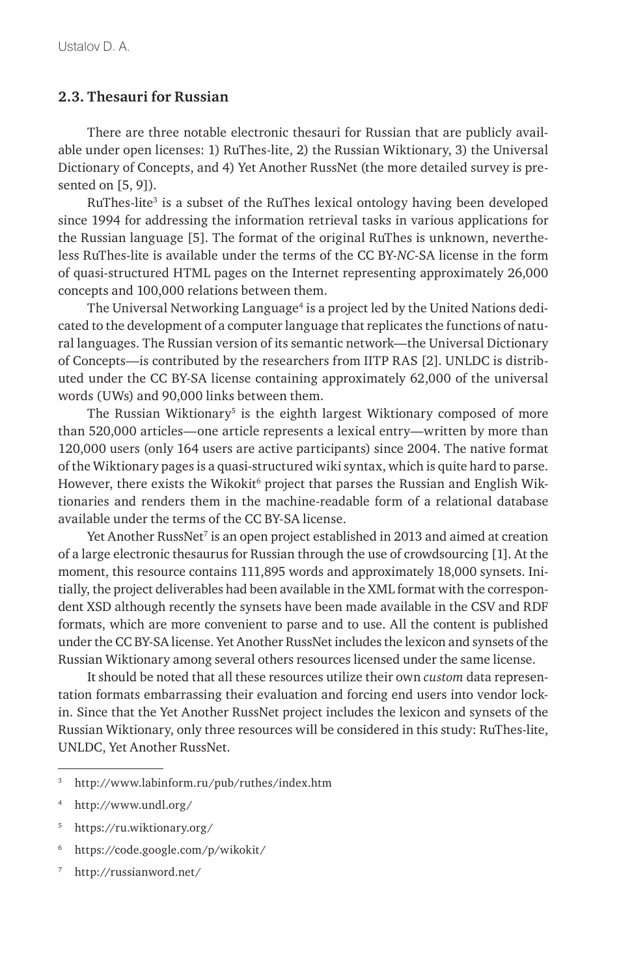#### **2.3. Thesauri for Russian**

There are three notable electronic thesauri for Russian that are publicly available under open licenses: 1) RuThes-lite, 2) the Russian Wiktionary, 3) the Universal Dictionary of Concepts, and 4) Yet Another RussNet (the more detailed survey is presented on [5, 9]).

RuThes-lite<sup>3</sup> is a subset of the RuThes lexical ontology having been developed since 1994 for addressing the information retrieval tasks in various applications for the Russian language [5]. The format of the original RuThes is unknown, nevertheless RuThes-lite is available under the terms of the CC BY-*NC*-SA license in the form of quasi-structured HTML pages on the Internet representing approximately 26,000 concepts and 100,000 relations between them.

The Universal Networking Language<sup>4</sup> is a project led by the United Nations dedicated to the development of a computer language that replicates the functions of natural languages. The Russian version of its semantic network—the Universal Dictionary of Concepts—is contributed by the researchers from IITP RAS [2]. UNLDC is distributed under the CC BY-SA license containing approximately 62,000 of the universal words (UWs) and 90,000 links between them.

The Russian Wiktionary<sup>5</sup> is the eighth largest Wiktionary composed of more than 520,000 articles—one article represents a lexical entry—written by more than 120,000 users (only 164 users are active participants) since 2004. The native format of the Wiktionary pages is a quasi-structured wiki syntax, which is quite hard to parse. However, there exists the Wikokit<sup>6</sup> project that parses the Russian and English Wiktionaries and renders them in the machine-readable form of a relational database available under the terms of the CC BY-SA license.

Yet Another RussNet $^7$  is an open project established in 2013 and aimed at creation of a large electronic thesaurus for Russian through the use of crowdsourcing [1]. At the moment, this resource contains 111,895 words and approximately 18,000 synsets. Initially, the project deliverables had been available in the XML format with the correspondent XSD although recently the synsets have been made available in the CSV and RDF formats, which are more convenient to parse and to use. All the content is published under the CC BY-SA license. Yet Another RussNet includes the lexicon and synsets of the Russian Wiktionary among several others resources licensed under the same license.

It should be noted that all these resources utilize their own *custom* data representation formats embarrassing their evaluation and forcing end users into vendor lockin. Since that the Yet Another RussNet project includes the lexicon and synsets of the Russian Wiktionary, only three resources will be considered in this study: RuThes-lite, UNLDC, Yet Another RussNet.

- <sup>5</sup> https://ru.wiktionary.org/
- <sup>6</sup> https://code.google.com/p/wikokit/
- <sup>7</sup> http://russianword.net/

<sup>3</sup> http://www.labinform.ru/pub/ruthes/index.htm

<sup>4</sup> http://www.undl.org/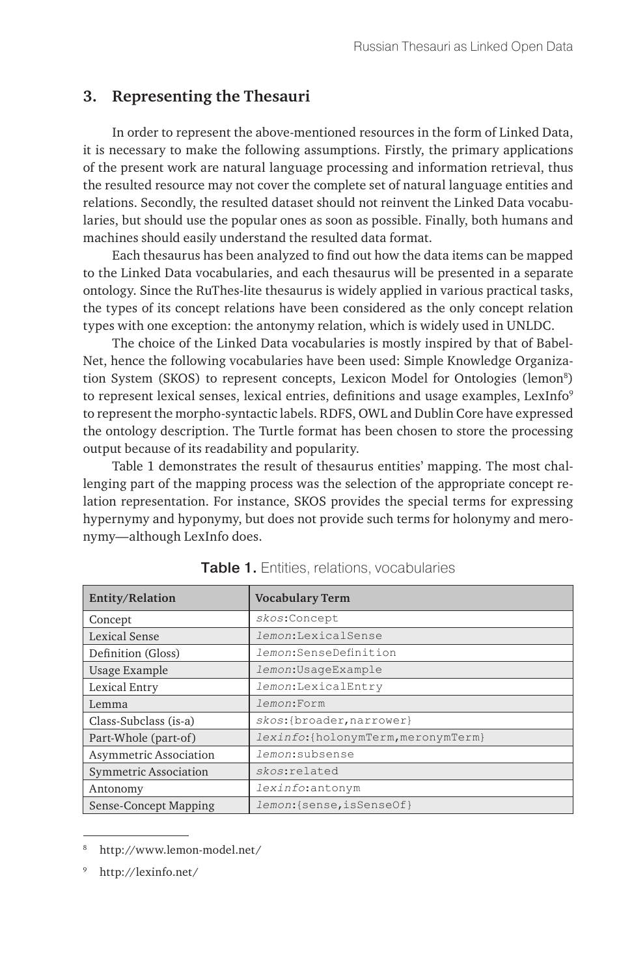## **3. Representing the Thesauri**

In order to represent the above-mentioned resources in the form of Linked Data, it is necessary to make the following assumptions. Firstly, the primary applications of the present work are natural language processing and information retrieval, thus the resulted resource may not cover the complete set of natural language entities and relations. Secondly, the resulted dataset should not reinvent the Linked Data vocabularies, but should use the popular ones as soon as possible. Finally, both humans and machines should easily understand the resulted data format.

Each thesaurus has been analyzed to find out how the data items can be mapped to the Linked Data vocabularies, and each thesaurus will be presented in a separate ontology. Since the RuThes-lite thesaurus is widely applied in various practical tasks, the types of its concept relations have been considered as the only concept relation types with one exception: the antonymy relation, which is widely used in UNLDC.

The choice of the Linked Data vocabularies is mostly inspired by that of Babel-Net, hence the following vocabularies have been used: Simple Knowledge Organization System (SKOS) to represent concepts, Lexicon Model for Ontologies (lemon<sup>8</sup>) to represent lexical senses, lexical entries, definitions and usage examples, LexInfo<sup>9</sup> to represent the morpho-syntactic labels. RDFS, OWL and Dublin Core have expressed the ontology description. The Turtle format has been chosen to store the processing output because of its readability and popularity.

Table 1 demonstrates the result of thesaurus entities' mapping. The most challenging part of the mapping process was the selection of the appropriate concept relation representation. For instance, SKOS provides the special terms for expressing hypernymy and hyponymy, but does not provide such terms for holonymy and meronymy—although LexInfo does.

| Entity/Relation        | <b>Vocabulary Term</b>              |  |
|------------------------|-------------------------------------|--|
| Concept                | skos:Concept                        |  |
| Lexical Sense          | <i>lemon</i> :LexicalSense          |  |
| Definition (Gloss)     | <i>lemon</i> :SenseDefinition       |  |
| Usage Example          | lemon: Usaqe Example                |  |
| Lexical Entry          | lemon:LexicalEntry                  |  |
| Lemma                  | <i>lemon</i> :Form                  |  |
| Class-Subclass (is-a)  | skos:{broader, narrower}            |  |
| Part-Whole (part-of)   | lexinfo: {holonymTerm, meronymTerm} |  |
| Asymmetric Association | <i>lemon</i> :subsense              |  |
| Symmetric Association  | skos:related                        |  |
| Antonomy               | lexinfo:antonym                     |  |
| Sense-Concept Mapping  | lemon: {sense, isSenseOf}           |  |

| Table 1. Entities, relations, vocabularies |
|--------------------------------------------|
|                                            |

<sup>8</sup> http://www.lemon-model.net/

<sup>9</sup> http://lexinfo.net/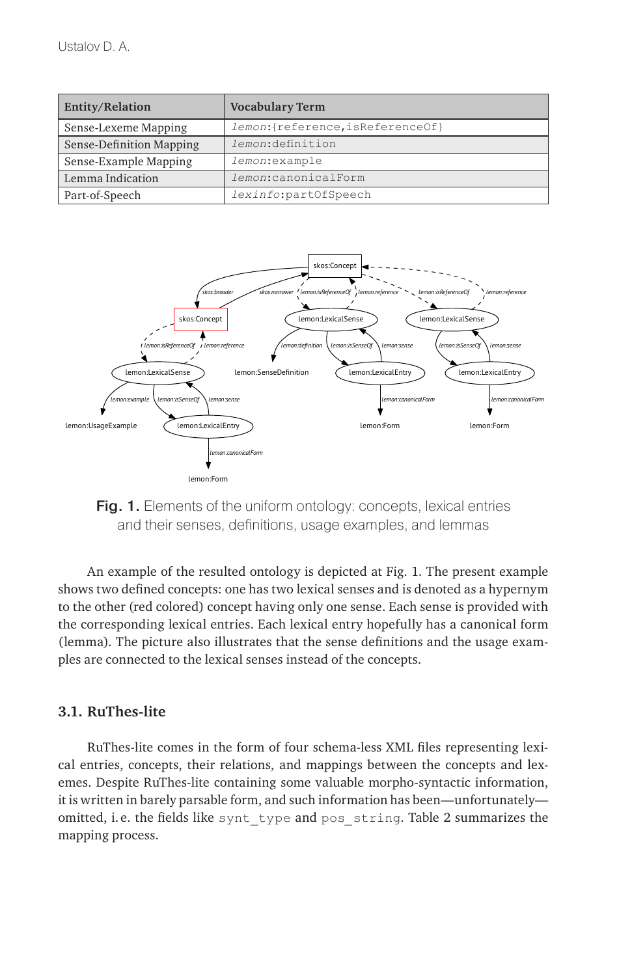| Entity/Relation          | <b>Vocabulary Term</b>            |  |
|--------------------------|-----------------------------------|--|
| Sense-Lexeme Mapping     | lemon: {reference, isReferenceOf} |  |
| Sense-Definition Mapping | lemon:definition                  |  |
| Sense-Example Mapping    | lemon: example                    |  |
| Lemma Indication         | lemon: canonicalForm              |  |
| Part-of-Speech           | lexinfo:partOfSpeech              |  |



Fig. 1. Elements of the uniform ontology: concepts, lexical entries and their senses, definitions, usage examples, and lemmas

An example of the resulted ontology is depicted at Fig. 1. The present example shows two defined concepts: one has two lexical senses and is denoted as a hypernym to the other (red colored) concept having only one sense. Each sense is provided with the corresponding lexical entries. Each lexical entry hopefully has a canonical form (lemma). The picture also illustrates that the sense definitions and the usage examples are connected to the lexical senses instead of the concepts.

#### **3.1. RuThes-lite**

RuThes-lite comes in the form of four schema-less XML files representing lexical entries, concepts, their relations, and mappings between the concepts and lexemes. Despite RuThes-lite containing some valuable morpho-syntactic information, it is written in barely parsable form, and such information has been—unfortunately omitted, i.e. the fields like synt type and pos string. Table 2 summarizes the mapping process.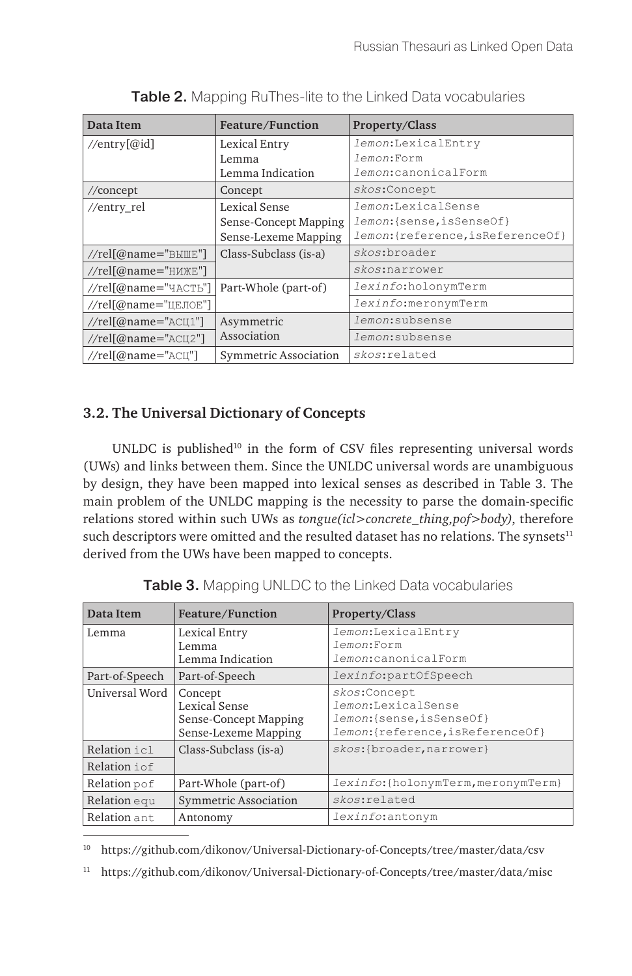| Data Item                         | Feature/Function      | Property/Class                    |
|-----------------------------------|-----------------------|-----------------------------------|
| //entry[ $@id$ ]                  | Lexical Entry         | lemon:LexicalEntry                |
|                                   | Lemma                 | lemon:Form                        |
|                                   | Lemma Indication      | <i>lemon</i> :canonicalForm       |
| $//$ concept                      | Concept               | skos:Concept                      |
| //entry_rel                       | Lexical Sense         | lemon:LexicalSense                |
|                                   | Sense-Concept Mapping | lemon: {sense, isSenseOf}         |
|                                   | Sense-Lexeme Mapping  | lemon: {reference, isReferenceOf} |
| //rel[@name=" $B$ MILE"]          | Class-Subclass (is-a) | skos: broader                     |
| //rel[@name=" $H$ <i>M</i> $E$ "] |                       | skos:narrower                     |
| //rel[@name="ЧАСТЬ"]              | Part-Whole (part-of)  | <i>lexinfo</i> :holonymTerm       |
| //rel[@name="ЦЕЛОЕ"]              |                       | lexinfo:meronymTerm               |
| //rel $@name="ACIII"$             | Asymmetric            | <i>lemon</i> :subsense            |
| $//rel[@name="ACU2"]$             | Association           | <i>lemon</i> :subsense            |
| //rel[@name="ACII"]               | Symmetric Association | skos:related                      |

Table 2. Mapping RuThes-lite to the Linked Data vocabularies

## **3.2. The Universal Dictionary of Concepts**

UNLDC is published $10$  in the form of CSV files representing universal words (UWs) and links between them. Since the UNLDC universal words are unambiguous by design, they have been mapped into lexical senses as described in Table 3. The main problem of the UNLDC mapping is the necessity to parse the domain-specific relations stored within such UWs as *tongue(icl>concrete\_thing,pof>body)*, therefore such descriptors were omitted and the resulted dataset has no relations. The synsets $11$ derived from the UWs have been mapped to concepts.

| Data Item      | Feature/Function                                                          | <b>Property/Class</b>                                                                               |
|----------------|---------------------------------------------------------------------------|-----------------------------------------------------------------------------------------------------|
| Lemma          | Lexical Entry<br>Lemma<br>Lemma Indication                                | lemon:LexicalEntry<br><i>lemon</i> :Form<br>lemon:canonicalForm                                     |
| Part-of-Speech | Part-of-Speech                                                            | lexinfo:partOfSpeech                                                                                |
| Universal Word | Concept<br>Lexical Sense<br>Sense-Concept Mapping<br>Sense-Lexeme Mapping | skos:Concept<br>lemon:LexicalSense<br>lemon: {sense, isSenseOf}<br>lemon:{reference, isReferenceOf} |
| Relation icl   | Class-Subclass (is-a)                                                     | skos:{broader, narrower}                                                                            |
| Relation i of  |                                                                           |                                                                                                     |
| Relation pof   | Part-Whole (part-of)                                                      | lexinfo: {holonymTerm, meronymTerm}                                                                 |
| Relation equ   | <b>Symmetric Association</b>                                              | skos:related                                                                                        |
| Relation ant   | Antonomy                                                                  | lexinfo:antonym                                                                                     |

**Table 3.** Mapping UNLDC to the Linked Data vocabularies

<sup>10</sup> https://github.com/dikonov/Universal-Dictionary-of-Concepts/tree/master/data/csv

<sup>11</sup> https://github.com/dikonov/Universal-Dictionary-of-Concepts/tree/master/data/misc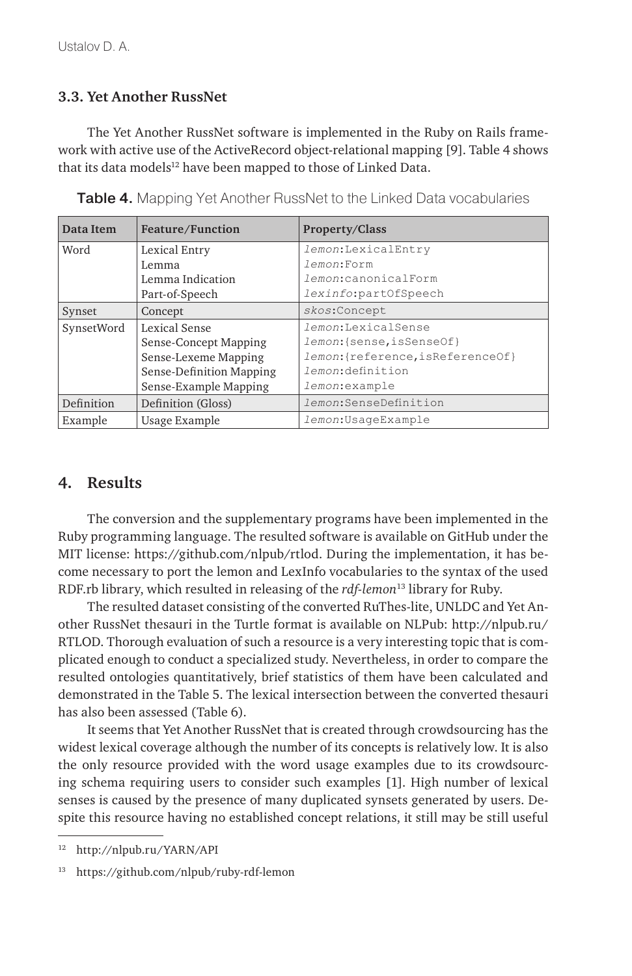### **3.3. Yet Another RussNet**

The Yet Another RussNet software is implemented in the Ruby on Rails framework with active use of the ActiveRecord object-relational mapping [9]. Table 4 shows that its data models<sup>12</sup> have been mapped to those of Linked Data.

| Data Item  | Feature/Function         | <b>Property/Class</b>             |
|------------|--------------------------|-----------------------------------|
| Word       | Lexical Entry            | lemon:LexicalEntry                |
|            | Lemma                    | <i>lemon</i> :Form                |
|            | Lemma Indication         | lemon:canonicalForm               |
|            | Part-of-Speech           | lexinfo:partOfSpeech              |
| Synset     | Concept                  | skos:Concept                      |
| SynsetWord | Lexical Sense            | <i>lemon:LexicalSense</i>         |
|            | Sense-Concept Mapping    | lemon: {sense, isSenseOf}         |
|            | Sense-Lexeme Mapping     | lemon: {reference, isReferenceOf} |
|            | Sense-Definition Mapping | lemon:definition                  |
|            | Sense-Example Mapping    | <i>lemon</i> :example             |
| Definition | Definition (Gloss)       | <i>lemon</i> : SenseDefinition    |
| Example    | Usage Example            | lemon: Usaqe Example              |

Table 4. Mapping Yet Another RussNet to the Linked Data vocabularies

## **4. Results**

The conversion and the supplementary programs have been implemented in the Ruby programming language. The resulted software is available on GitHub under the MIT license: https://github.com/nlpub/rtlod. During the implementation, it has become necessary to port the lemon and LexInfo vocabularies to the syntax of the used RDF.rb library, which resulted in releasing of the *rdf-lemon*13 library for Ruby.

The resulted dataset consisting of the converted RuThes-lite, UNLDC and Yet Another RussNet thesauri in the Turtle format is available on NLPub: http://nlpub.ru/ RTLOD. Thorough evaluation of such a resource is a very interesting topic that is complicated enough to conduct a specialized study. Nevertheless, in order to compare the resulted ontologies quantitatively, brief statistics of them have been calculated and demonstrated in the Table 5. The lexical intersection between the converted thesauri has also been assessed (Table 6).

It seems that Yet Another RussNet that is created through crowdsourcing has the widest lexical coverage although the number of its concepts is relatively low. It is also the only resource provided with the word usage examples due to its crowdsourcing schema requiring users to consider such examples [1]. High number of lexical senses is caused by the presence of many duplicated synsets generated by users. Despite this resource having no established concept relations, it still may be still useful

<sup>12</sup> http://nlpub.ru/YARN/API

<sup>13</sup> https://github.com/nlpub/ruby-rdf-lemon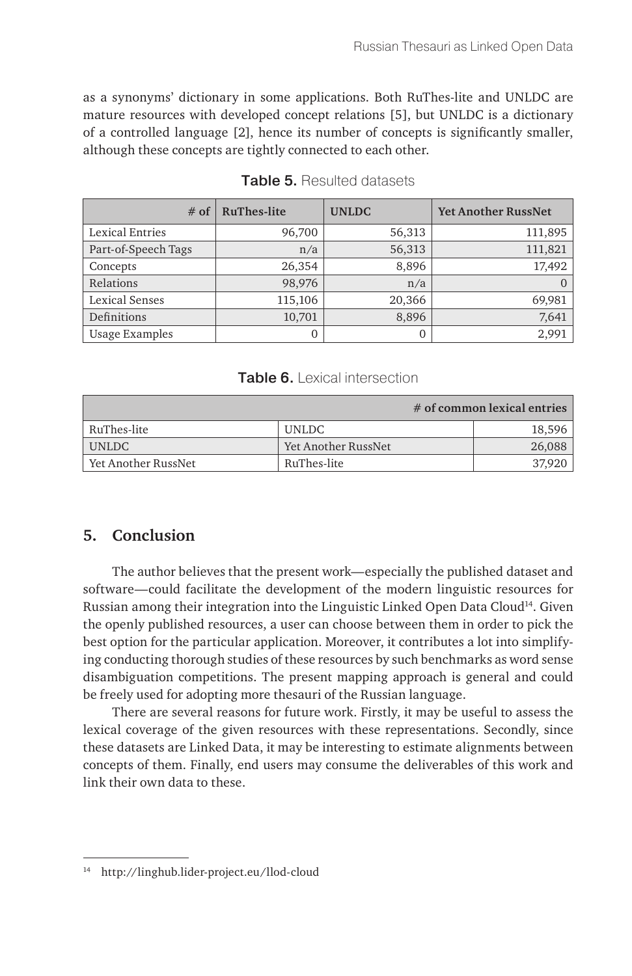as a synonyms' dictionary in some applications. Both RuThes-lite and UNLDC are mature resources with developed concept relations [5], but UNLDC is a dictionary of a controlled language [2], hence its number of concepts is significantly smaller, although these concepts are tightly connected to each other.

| $#$ of                | <b>RuThes-lite</b> | <b>UNLDC</b> | <b>Yet Another RussNet</b> |
|-----------------------|--------------------|--------------|----------------------------|
| Lexical Entries       | 96,700             | 56,313       | 111,895                    |
| Part-of-Speech Tags   | n/a                | 56,313       | 111,821                    |
| Concepts              | 26,354             | 8,896        | 17,492                     |
| Relations             | 98,976             | n/a          |                            |
| <b>Lexical Senses</b> | 115,106            | 20,366       | 69,981                     |
| Definitions           | 10,701             | 8,896        | 7,641                      |
| <b>Usage Examples</b> |                    |              | 2.991                      |

#### Table 5. Resulted datasets

#### Table 6. Lexical intersection

|                     |                     | $#$ of common lexical entries |
|---------------------|---------------------|-------------------------------|
| RuThes-lite         | UNLDC               | 18,596                        |
| UNLDC               | Yet Another RussNet | 26,088                        |
| Yet Another RussNet | RuThes-lite         | 37,920                        |

## **5. Conclusion**

The author believes that the present work—especially the published dataset and software—could facilitate the development of the modern linguistic resources for Russian among their integration into the Linguistic Linked Open Data Cloud<sup>14</sup>. Given the openly published resources, a user can choose between them in order to pick the best option for the particular application. Moreover, it contributes a lot into simplifying conducting thorough studies of these resources by such benchmarks as word sense disambiguation competitions. The present mapping approach is general and could be freely used for adopting more thesauri of the Russian language.

There are several reasons for future work. Firstly, it may be useful to assess the lexical coverage of the given resources with these representations. Secondly, since these datasets are Linked Data, it may be interesting to estimate alignments between concepts of them. Finally, end users may consume the deliverables of this work and link their own data to these.

<sup>14</sup> http://linghub.lider-project.eu/llod-cloud